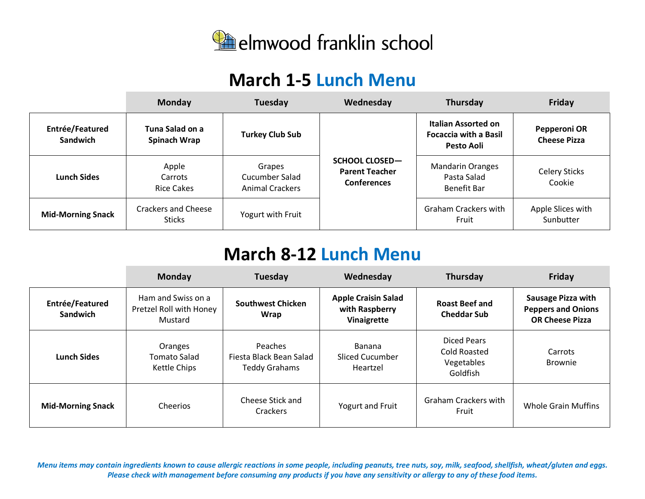

## **March 1-5 Lunch Menu**

|                                    | <b>Monday</b>                               | Tuesday                                            | Wednesday                                                            | Thursday                                                          | Friday                              |
|------------------------------------|---------------------------------------------|----------------------------------------------------|----------------------------------------------------------------------|-------------------------------------------------------------------|-------------------------------------|
| Entrée/Featured<br><b>Sandwich</b> | Tuna Salad on a<br>Spinach Wrap             | <b>Turkey Club Sub</b>                             |                                                                      | Italian Assorted on<br><b>Focaccia with a Basil</b><br>Pesto Aoli | Pepperoni OR<br><b>Cheese Pizza</b> |
| Lunch Sides                        | Apple<br>Carrots<br>Rice Cakes              | Grapes<br>Cucumber Salad<br><b>Animal Crackers</b> | <b>SCHOOL CLOSED-</b><br><b>Parent Teacher</b><br><b>Conferences</b> | <b>Mandarin Oranges</b><br>Pasta Salad<br><b>Benefit Bar</b>      | <b>Celery Sticks</b><br>Cookie      |
| <b>Mid-Morning Snack</b>           | <b>Crackers and Cheese</b><br><b>Sticks</b> | Yogurt with Fruit                                  |                                                                      | <b>Graham Crackers with</b><br>Fruit                              | Apple Slices with<br>Sunbutter      |

## **March 8-12 Lunch Menu**

|                                    | Monday                                                   | Tuesday                                                    | Wednesday                                                   | Thursday                                                     | Friday                                                                           |
|------------------------------------|----------------------------------------------------------|------------------------------------------------------------|-------------------------------------------------------------|--------------------------------------------------------------|----------------------------------------------------------------------------------|
| Entrée/Featured<br><b>Sandwich</b> | Ham and Swiss on a<br>Pretzel Roll with Honey<br>Mustard | <b>Southwest Chicken</b><br>Wrap                           | <b>Apple Craisin Salad</b><br>with Raspberry<br>Vinaigrette | <b>Roast Beef and</b><br><b>Cheddar Sub</b>                  | <b>Sausage Pizza with</b><br><b>Peppers and Onions</b><br><b>OR Cheese Pizza</b> |
| <b>Lunch Sides</b>                 | Oranges<br><b>Tomato Salad</b><br>Kettle Chips           | Peaches<br>Fiesta Black Bean Salad<br><b>Teddy Grahams</b> | <b>Banana</b><br>Sliced Cucumber<br>Heartzel                | Diced Pears<br><b>Cold Roasted</b><br>Vegetables<br>Goldfish | Carrots<br><b>Brownie</b>                                                        |
| <b>Mid-Morning Snack</b>           | Cheerios                                                 | Cheese Stick and<br>Crackers                               | Yogurt and Fruit                                            | <b>Graham Crackers with</b><br>Fruit                         | Whole Grain Muffins                                                              |

*Menu items may contain ingredients known to cause allergic reactions in some people, including peanuts, tree nuts, soy, milk, seafood, shellfish, wheat/gluten and eggs. Please check with management before consuming any products if you have any sensitivity or allergy to any of these food items.*